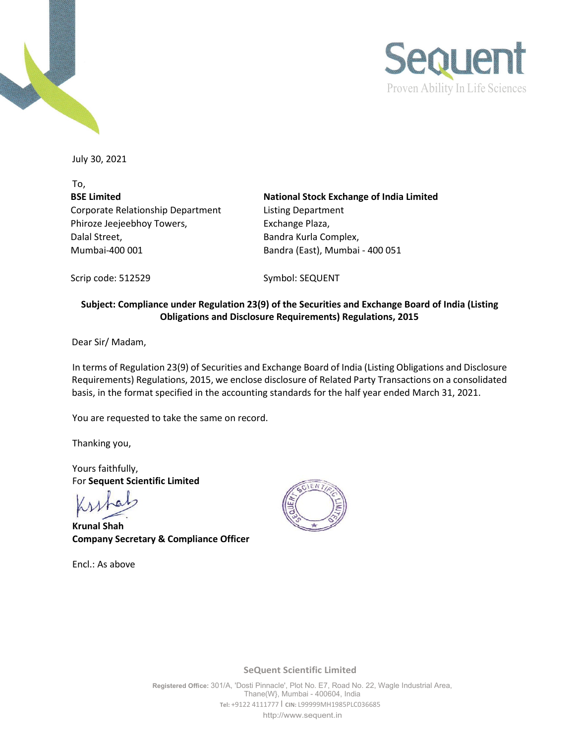



July 30, 2021

To, **BSE Limited** Corporate Relationship Department Phiroze Jeejeebhoy Towers, Dalal Street, Mumbai-400 001 Bandra (East), Mumbai - 400 051

**National Stock Exchange of India Limited** Listing Department Exchange Plaza, Bandra Kurla Complex,

Scrip code: 512529 Symbol: SEQUENT

### **Subject: Compliance under Regulation 23(9) of the Securities and Exchange Board of India (Listing Obligations and Disclosure Requirements) Regulations, 2015**

Dear Sir/ Madam,

In terms of Regulation 23(9) of Securities and Exchange Board of India (Listing Obligations and Disclosure Requirements) Regulations, 2015, we enclose disclosure of Related Party Transactions on a consolidated basis, in the format specified in the accounting standards for the half year ended March 31, 2021.

You are requested to take the same on record.

Thanking you,

Yours faithfully, For **Sequent Scientific Limited**

**Krunal Shah Company Secretary & Compliance Officer**

Encl.: As above



**SeQuent Scientific Limited**

**Registered Office:** 301/A, 'Dosti Pinnacle', Plot No. E7, Road No. 22, Wagle Industrial Area, Thane(W}, Mumbai - 400604, India **Tel:** +9122 4111777 I **CIN:** L99999MH1985PLC036685 [http://www.sequent.in](http://www.sequent.in/)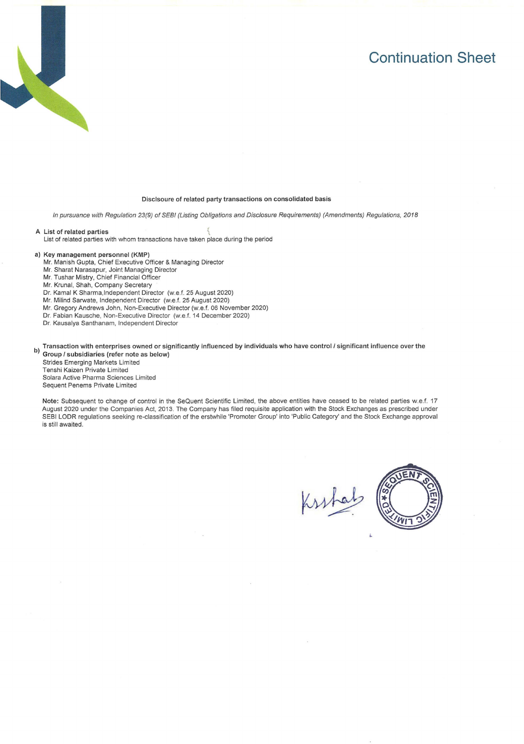## **Continuation Sheet**



#### Disclsoure of related party transactions on consolidated basis

In pursuance with Regulation 23(9) of SEBI (Listing Obligations and Disclosure Requirements) (Amendments) Regulations, 2018

A List of related parties \ List of related parties with whom transactions have taken place during the period

#### a) Key management personnel (KMP)

- Mr. Manish Gupta, Chief Executive Officer & Managing Director
- Mr. Sharat Narasapur, Joint Managing Director
- Mr. Tushar Mistry, Chief Financial Officer
- Mr. Krunal, Shah, Company Secretary
- Dr. Kamal K Sharma,lndependent Director (w.e.f. 25 August 2020)
- Mr. Milind Sarwate, Independent Director (w,e.f. 25 August 2020)
- Mr. Gregory Andrews John, Non-Executive Director (w.e.f. 06 November 2020)
- Dr. Fabian Kausche, Non-Executive Director (w.e.f. 14 December 2020)
- Dr. Kausalya Santhanam, Independent Director

**b) Transaction with enterprises owned or significantly influenced by individuals who have control/ significant influence over the Group/ subsidiaries (refer note as below)** 

Strides Emerging Markets Limited Tenshi Kaizen Private Limited Solara Active Pharma Sciences Limited Sequent Penems Private Limited

**Note:** Subsequent to change of control in the SeQuent Scientific Limited, the above entities have ceased to be related parties w.e.f. 17 August 2020 under the Companies Act, 2013. The Company has filed requisite application with the Stock Exchanges as prescribed under SEBI LODR regulations seeking re-classification of the erstwhile 'Promoter Group' into 'Public Category' and the Stock Exchange approval is still awaited.

Kuhal